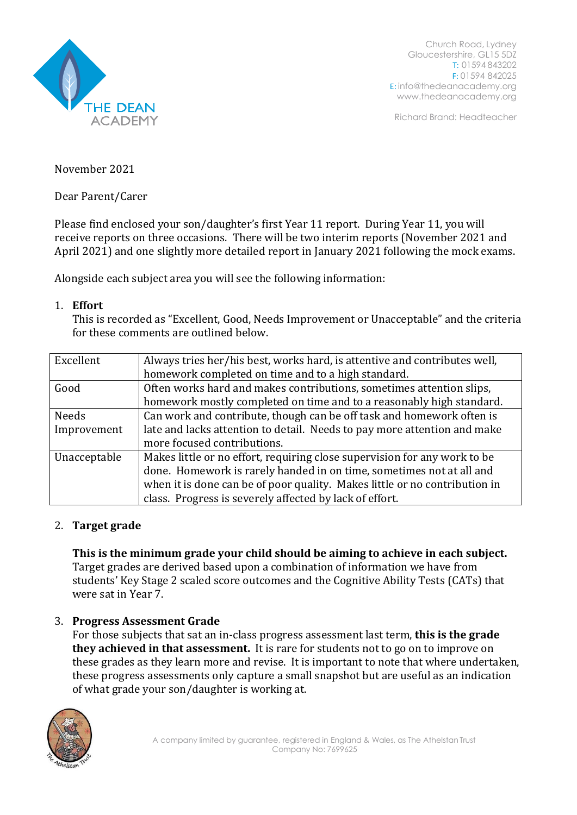

Church Road, Lydney Gloucestershire, GL15 5DZ T: 01594 843202 F: 01594 842025 E: [info@thedeanacademy.org](mailto:info@thedeanacademy.org) [www.thedeanacademy.org](http://www.thedeanacademy.org/)

Richard Brand: Headteacher

November 2021

Dear Parent/Carer

Please find enclosed your son/daughter's first Year 11 report. During Year 11, you will receive reports on three occasions. There will be two interim reports (November 2021 and April 2021) and one slightly more detailed report in January 2021 following the mock exams.

Alongside each subject area you will see the following information:

## 1. **Effort**

This is recorded as "Excellent, Good, Needs Improvement or Unacceptable" and the criteria for these comments are outlined below.

| Excellent    | Always tries her/his best, works hard, is attentive and contributes well,  |
|--------------|----------------------------------------------------------------------------|
|              | homework completed on time and to a high standard.                         |
| Good         | Often works hard and makes contributions, sometimes attention slips,       |
|              | homework mostly completed on time and to a reasonably high standard.       |
| Needs        | Can work and contribute, though can be off task and homework often is      |
| Improvement  | late and lacks attention to detail. Needs to pay more attention and make   |
|              | more focused contributions.                                                |
| Unacceptable | Makes little or no effort, requiring close supervision for any work to be  |
|              | done. Homework is rarely handed in on time, sometimes not at all and       |
|              | when it is done can be of poor quality. Makes little or no contribution in |
|              | class. Progress is severely affected by lack of effort.                    |

## 2. **Target grade**

**This is the minimum grade your child should be aiming to achieve in each subject.** Target grades are derived based upon a combination of information we have from students' Key Stage 2 scaled score outcomes and the Cognitive Ability Tests (CATs) that were sat in Year 7.

## 3. **Progress Assessment Grade**

For those subjects that sat an in-class progress assessment last term, **this is the grade they achieved in that assessment.** It is rare for students not to go on to improve on these grades as they learn more and revise. It is important to note that where undertaken, these progress assessments only capture a small snapshot but are useful as an indication of what grade your son/daughter is working at.